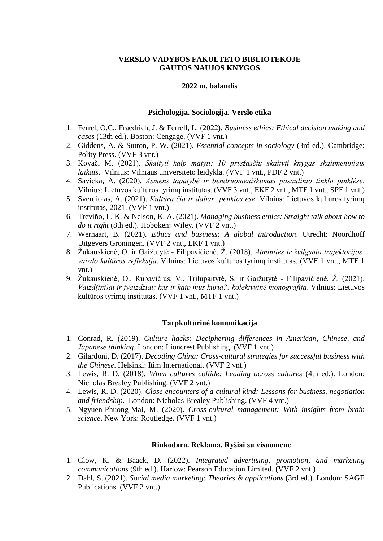## **VERSLO VADYBOS FAKULTETO BIBLIOTEKOJE GAUTOS NAUJOS KNYGOS**

## **2022 m. balandis**

## **Psichologija. Sociologija. Verslo etika**

- 1. Ferrel, O.C., Fraedrich, J. & Ferrell, L. (2022). *Business ethics: Ethical decision making and cases* (13th ed.). Boston: Cengage. (VVF 1 vnt.)
- 2. Giddens, A. & Sutton, P. W. (2021). *Essential concepts in sociology* (3rd ed.). Cambridge: Polity Press. (VVF 3 vnt.)
- 3. Kovač, M. (2021). *Skaityti kaip matyti: 10 priežasčių skaityti knygas skaitmeniniais laikais*. Vilnius: Vilniaus universiteto leidykla. (VVF 1 vnt., PDF 2 vnt.)
- 4. Savicka, A. (2020). *Asmens tapatybė ir bendruomeniškumas pasaulinio tinklo pinklėse*. Vilnius: Lietuvos kultūros tyrimų institutas. (VVF 3 vnt., EKF 2 vnt., MTF 1 vnt., SPF 1 vnt.)
- 5. Sverdiolas, A. (2021). *Kultūra čia ir dabar: penkios esė*. Vilnius: Lietuvos kultūros tyrimų institutas, 2021. (VVF 1 vnt.)
- 6. Treviño, L. K. & Nelson, K. A. (2021). *Managing business ethics: Straight talk about how to do it right* (8th ed.). Hoboken: Wiley. (VVF 2 vnt.)
- 7. Wernaart, B. (2021). *Ethics and business: A global introduction*. Utrecht: Noordhoff Uitgevers Groningen. (VVF 2 vnt., EKF 1 vnt.)
- 8. Žukauskienė, O. ir Gaižutytė Filipavičienė, Ž. (2018). *Atminties ir žvilgsnio trajektorijos: vaizdo kultūros refleksija*. Vilnius: Lietuvos kultūros tyrimų institutas. (VVF 1 vnt., MTF 1 vnt.)
- 9. Žukauskienė, O., Rubavičius, V., Trilupaitytė, S. ir Gaižutytė Filipavičienė, Ž. (2021). *Vaizd(ini)ai ir įvaizdžiai: kas ir kaip mus kuria?: kolektyvinė monografija*. Vilnius: Lietuvos kultūros tyrimų institutas. (VVF 1 vnt., MTF 1 vnt.)

## **Tarpkultūrinė komunikacija**

- 1. Conrad, R. (2019). *Culture hacks: Deciphering differences in American, Chinese, and Japanese thinking.* London: Lioncrest Publishing. (VVF 1 vnt.)
- 2. Gilardoni, D. (2017). *Decoding China: Cross-cultural strategies for successful business with the Chinese*. Helsinki: Itim International. (VVF 2 vnt.)
- 3. Lewis, R. D. (2018). *When cultures collide: Leading across cultures* (4th ed.). London: Nicholas Brealey Publishing. (VVF 2 vnt.)
- 4. Lewis, R. D. (2020). *Close encounters of a cultural kind: Lessons for business, negotiation and friendship*. London: Nicholas Brealey Publishing. (VVF 4 vnt.)
- 5. Ngyuen-Phuong-Mai, M. (2020). *Cross-cultural management: With insights from brain science*. New York: Routledge. (VVF 1 vnt.)

#### **Rinkodara. Reklama. Ryšiai su visuomene**

- 1. Clow, K. & Baack, D. (2022). *Integrated advertising, promotion, and marketing communications* (9th ed.). Harlow: Pearson Education Limited. (VVF 2 vnt.)
- 2. Dahl, S. (2021). *Social media marketing: Theories & applications* (3rd ed.). London: SAGE Publications. (VVF 2 vnt.).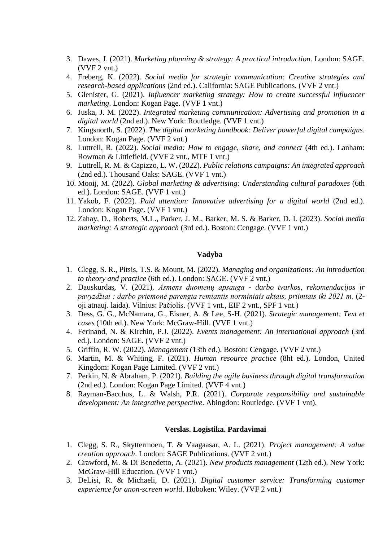- 3. Dawes, J. (2021). *Marketing planning & strategy: A practical introduction*. London: SAGE. (VVF 2 vnt.)
- 4. Freberg, K. (2022). *Social media for strategic communication: Creative strategies and research-based applications* (2nd ed.). California: SAGE Publications. (VVF 2 vnt.)
- 5. Glenister, G. (2021). *Influencer marketing strategy: How to create successful influencer marketing*. London: Kogan Page. (VVF 1 vnt.)
- 6. Juska, J. M. (2022). *Integrated marketing communication: Advertising and promotion in a digital world* (2nd ed.). New York: Routledge. (VVF 1 vnt.)
- 7. Kingsnorth, S. (2022). *The digital marketing handbook: Deliver powerful digital campaigns*. London: Kogan Page. (VVF 2 vnt.)
- 8. Luttrell, R. (2022). *Social media: How to engage, share, and connect* (4th ed.). Lanham: Rowman & Littlefield. (VVF 2 vnt., MTF 1 vnt.)
- 9. Luttrell, R. M. & Capizzo, L. W. (2022). *Public relations campaigns: An integrated approach* (2nd ed.). Thousand Oaks: SAGE. (VVF 1 vnt.)
- 10. Mooij, M. (2022). *Global marketing & advertising: Understanding cultural paradoxes* (6th ed.). London: SAGE. (VVF 1 vnt.)
- 11. Yakob, F. (2022). *Paid attention: Innovative advertising for a digital world* (2nd ed.). London: Kogan Page. (VVF 1 vnt.)
- 12. Zahay, D., Roberts, M.L., Parker, J. M., Barker, M. S. & Barker, D. I. (2023). *Social media marketing: A strategic approach* (3rd ed.). Boston: Cengage. (VVF 1 vnt.)

# **Vadyba**

- 1. Clegg, S. R., Pitsis, T.S. & Mount, M. (2022). *Managing and organizations: An introduction to theory and practice* (6th ed.). London: SAGE. (VVF 2 vnt.)
- 2. Dauskurdas, V. (2021). *Asmens duomenų apsauga - darbo tvarkos, rekomendacijos ir pavyzdžiai : darbo priemonė parengta remiantis norminiais aktais, priimtais iki 2021 m.* (2 oji atnauj. laida). Vilnius: Pačiolis. (VVF 1 vnt., EIF 2 vnt., SPF 1 vnt.)
- 3. Dess, G. G., McNamara, G., Eisner, A. & Lee, S-H. (2021). *Strategic management: Text et cases* (10th ed.). New York: McGraw-Hill. (VVF 1 vnt.)
- 4. Ferinand, N. & Kirchin, P.J. (2022). *Events management: An international approach* (3rd ed.). London: SAGE. (VVF 2 vnt.)
- 5. Griffin, R. W. (2022). *Management* (13th ed.). Boston: Cengage. (VVF 2 vnt.)
- 6. Martin, M. & Whiting, F. (2021). *Human resource practice* (8ht ed.). London, United Kingdom: Kogan Page Limited. (VVF 2 vnt.)
- 7. Perkin, N. & Abraham, P. (2021). *Building the agile business through digital transformation* (2nd ed.). London: Kogan Page Limited. (VVF 4 vnt.)
- 8. Rayman-Bacchus, L. & Walsh, P.R. (2021). *Corporate responsibility and sustainable development: An integrative perspective*. Abingdon: Routledge. (VVF 1 vnt).

## **Verslas. Logistika. Pardavimai**

- 1. Clegg, S. R., Skyttermoen, T. & Vaagaasar, A. L. (2021). *Project management: A value creation approach*. London: SAGE Publications. (VVF 2 vnt.)
- 2. Crawford, M. & Di Benedetto, A. (2021). *New products management* (12th ed.). New York: McGraw-Hill Education. (VVF 1 vnt.)
- 3. DeLisi, R. & Michaeli, D. (2021). *Digital customer service: Transforming customer experience for anon-screen world*. Hoboken: Wiley. (VVF 2 vnt.)